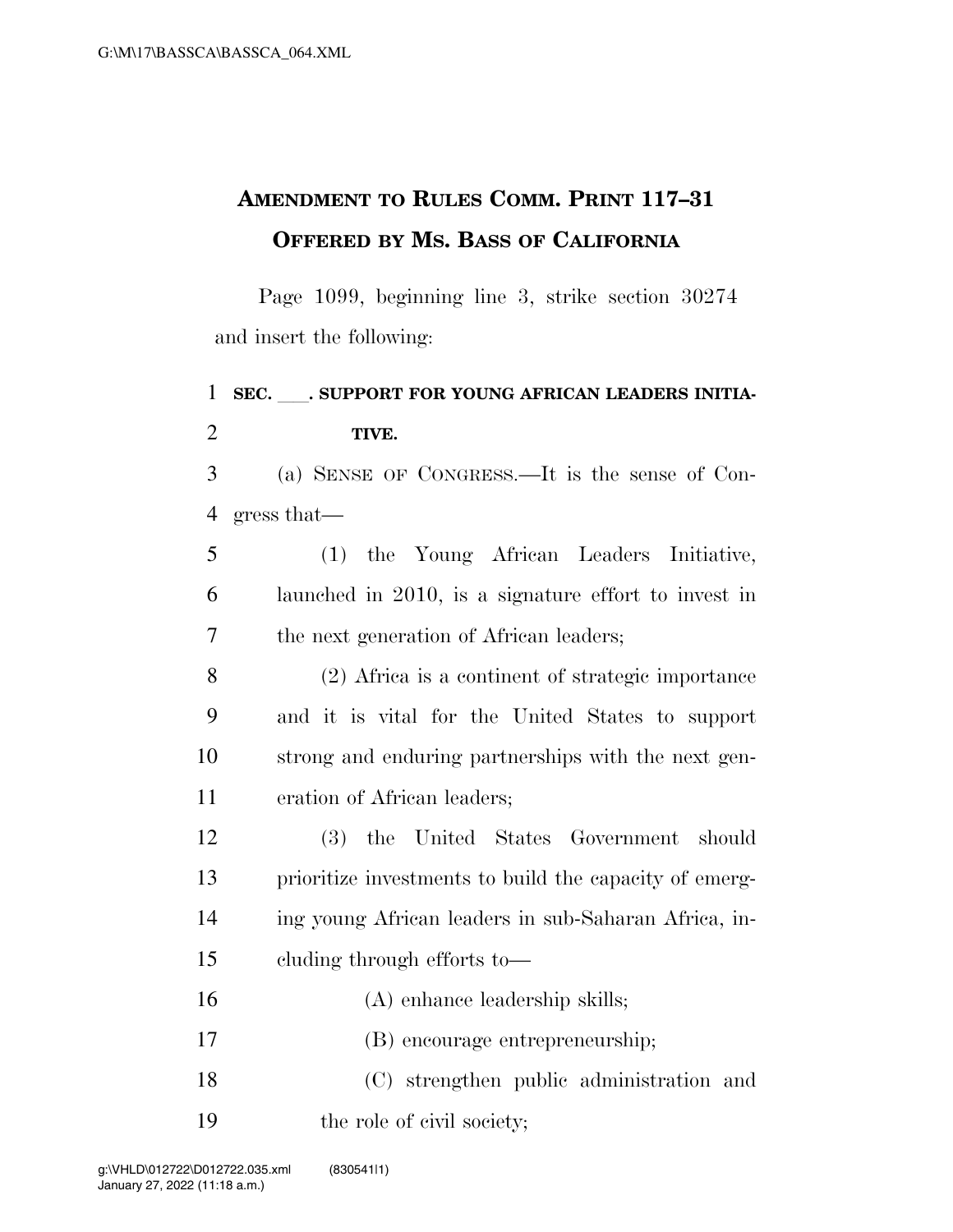## **AMENDMENT TO RULES COMM. PRINT 117–31 OFFERED BY MS. BASS OF CALIFORNIA**

Page 1099, beginning line 3, strike section 30274 and insert the following:

## 1 SEC. SUPPORT FOR YOUNG AFRICAN LEADERS INITIA- **TIVE.**  (a) SENSE OF CONGRESS.—It is the sense of Con- gress that— (1) the Young African Leaders Initiative, launched in 2010, is a signature effort to invest in the next generation of African leaders; (2) Africa is a continent of strategic importance and it is vital for the United States to support strong and enduring partnerships with the next gen- eration of African leaders; (3) the United States Government should prioritize investments to build the capacity of emerg- ing young African leaders in sub-Saharan Africa, in- cluding through efforts to— (A) enhance leadership skills; (B) encourage entrepreneurship; (C) strengthen public administration and 19 the role of civil society;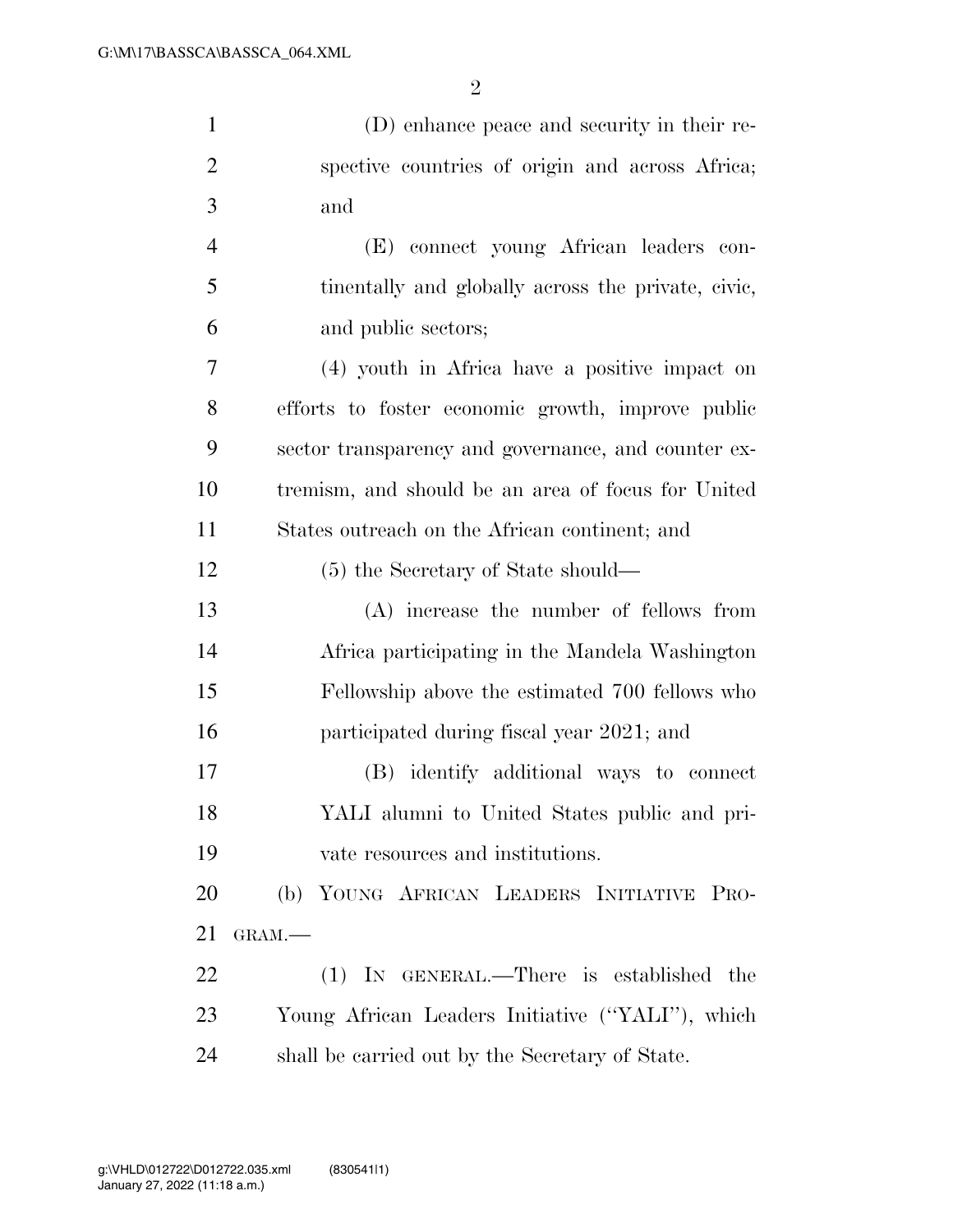(D) enhance peace and security in their re-

| $\overline{2}$ | spective countries of origin and across Africa;     |
|----------------|-----------------------------------------------------|
| 3              | and                                                 |
| $\overline{4}$ | (E) connect young African leaders con-              |
| 5              | tinentally and globally across the private, civic,  |
| 6              | and public sectors;                                 |
| 7              | (4) youth in Africa have a positive impact on       |
| 8              | efforts to foster economic growth, improve public   |
| 9              | sector transparency and governance, and counter ex- |
| 10             | tremism, and should be an area of focus for United  |
| 11             | States outreach on the African continent; and       |
| 12             | (5) the Secretary of State should—                  |
| 13             | (A) increase the number of fellows from             |
| 14             | Africa participating in the Mandela Washington      |
| 15             | Fellowship above the estimated 700 fellows who      |
| 16             | participated during fiscal year 2021; and           |
| 17             | (B) identify additional ways to connect             |
| 18             | YALI alumni to United States public and pri-        |
| 19             | vate resources and institutions.                    |
| 20             | (b) YOUNG AFRICAN LEADERS INITIATIVE PRO-           |
| 21             | GRAM.-                                              |
| 22             | $(1)$ In GENERAL.—There is established<br>the       |
| 23             | Young African Leaders Initiative ("YALI"), which    |
| 24             | shall be carried out by the Secretary of State.     |
|                |                                                     |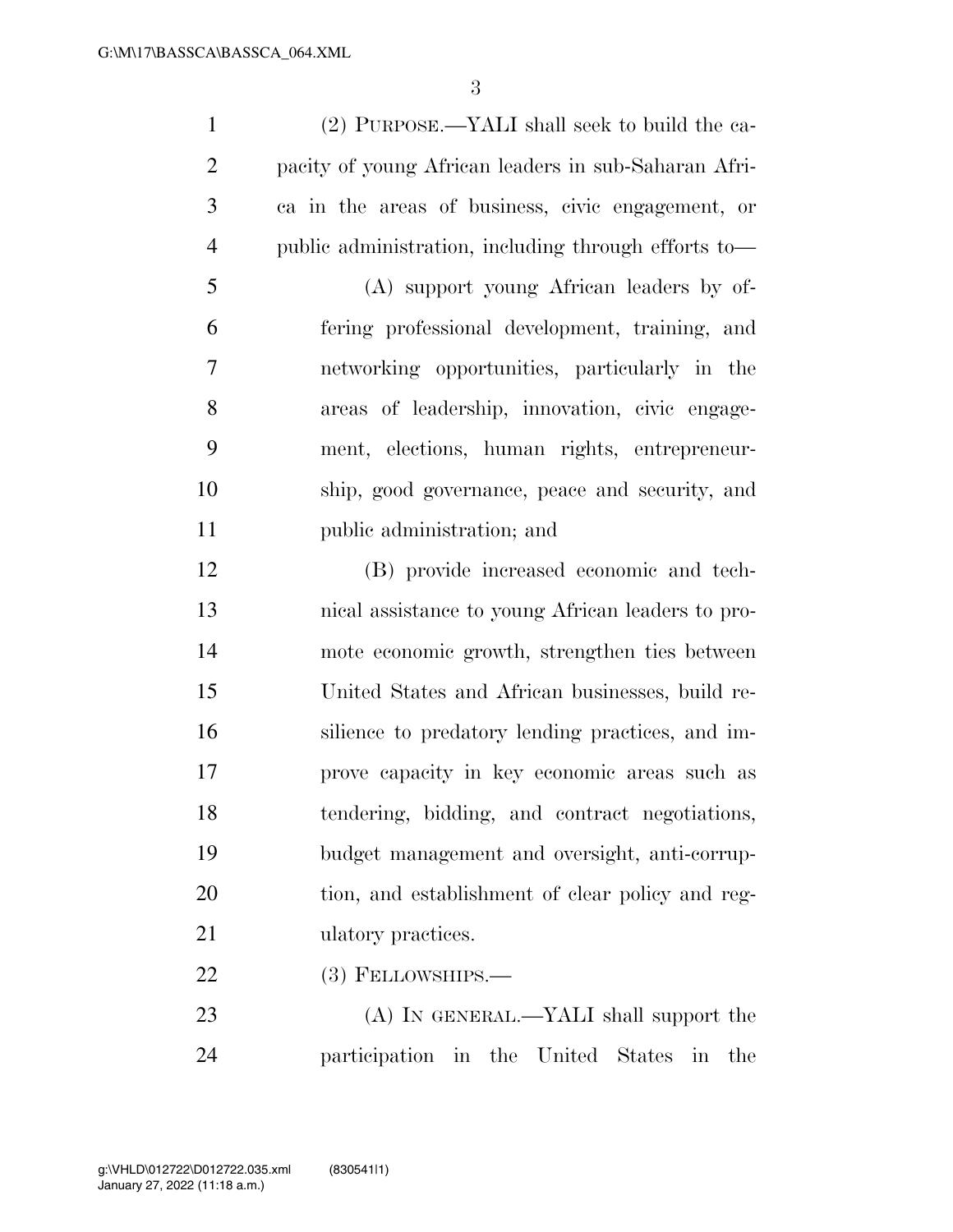(2) PURPOSE.—YALI shall seek to build the ca- pacity of young African leaders in sub-Saharan Afri- ca in the areas of business, civic engagement, or public administration, including through efforts to—

 (A) support young African leaders by of- fering professional development, training, and networking opportunities, particularly in the areas of leadership, innovation, civic engage- ment, elections, human rights, entrepreneur- ship, good governance, peace and security, and public administration; and

 (B) provide increased economic and tech- nical assistance to young African leaders to pro- mote economic growth, strengthen ties between United States and African businesses, build re- silience to predatory lending practices, and im- prove capacity in key economic areas such as tendering, bidding, and contract negotiations, budget management and oversight, anti-corrup- tion, and establishment of clear policy and reg-21 ulatory practices.

22 (3) FELLOWSHIPS.—

23 (A) IN GENERAL.—YALI shall support the participation in the United States in the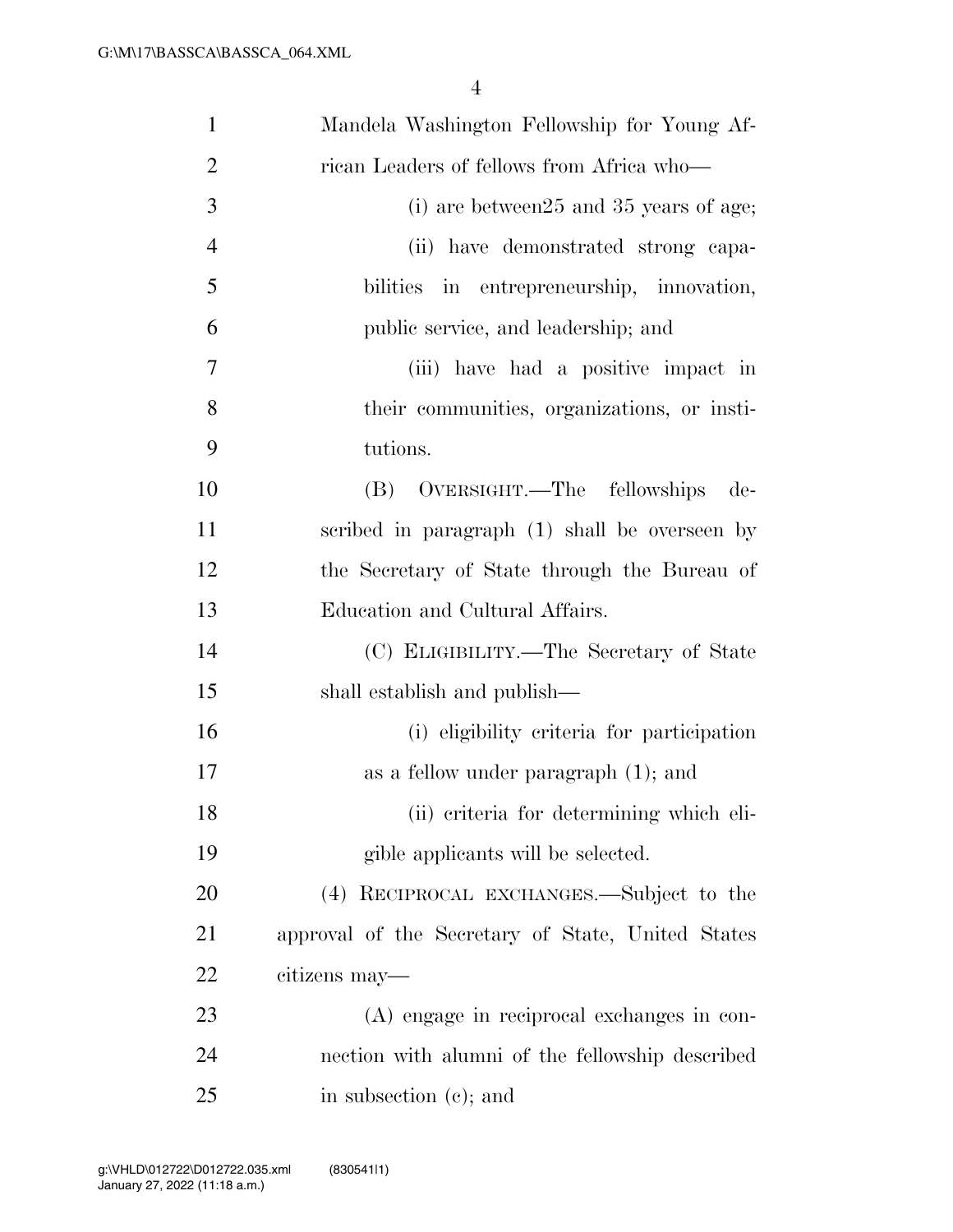| $\mathbf{1}$   | Mandela Washington Fellowship for Young Af-       |
|----------------|---------------------------------------------------|
| $\overline{2}$ | rican Leaders of fellows from Africa who—         |
| 3              | $(i)$ are between $25$ and $35$ years of age;     |
| $\overline{4}$ | (ii) have demonstrated strong capa-               |
| 5              | bilities in entrepreneurship, innovation,         |
| 6              | public service, and leadership; and               |
| 7              | (iii) have had a positive impact in               |
| 8              | their communities, organizations, or insti-       |
| 9              | tutions.                                          |
| 10             | (B) OVERSIGHT.—The fellowships<br>de-             |
| 11             | scribed in paragraph (1) shall be overseen by     |
| 12             | the Secretary of State through the Bureau of      |
| 13             | Education and Cultural Affairs.                   |
| 14             | (C) ELIGIBILITY.—The Secretary of State           |
| 15             | shall establish and publish—                      |
| 16             | (i) eligibility criteria for participation        |
| 17             | as a fellow under paragraph $(1)$ ; and           |
| 18             | (ii) criteria for determining which eli-          |
| 19             | gible applicants will be selected.                |
| 20             | (4) RECIPROCAL EXCHANGES.—Subject to the          |
| 21             | approval of the Secretary of State, United States |
| 22             | citizens may—                                     |
| 23             | (A) engage in reciprocal exchanges in con-        |
| 24             | nection with alumni of the fellowship described   |
| 25             | in subsection (c); and                            |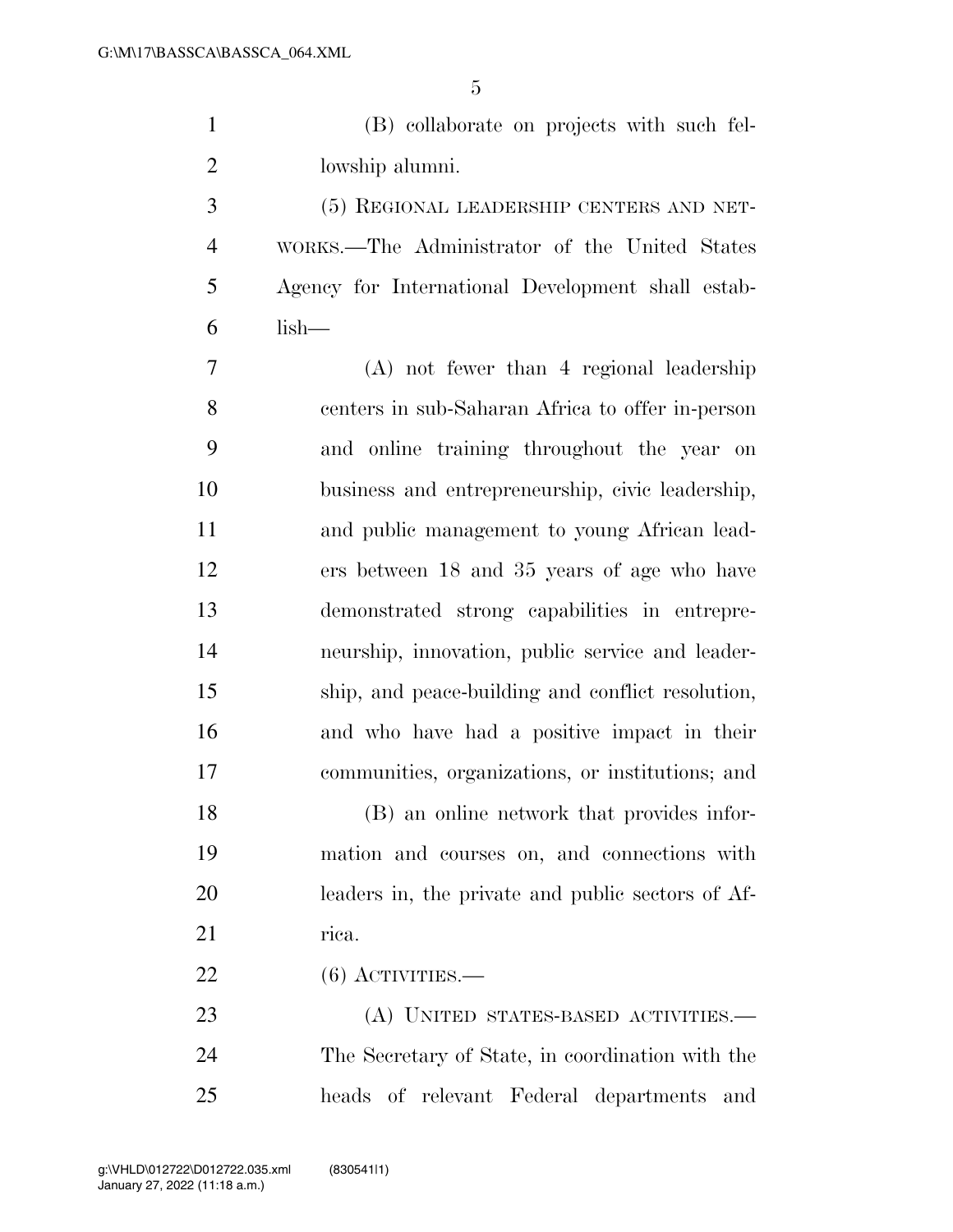(B) collaborate on projects with such fel-lowship alumni.

 (5) REGIONAL LEADERSHIP CENTERS AND NET- WORKS.—The Administrator of the United States Agency for International Development shall estab-lish—

 (A) not fewer than 4 regional leadership centers in sub-Saharan Africa to offer in-person and online training throughout the year on business and entrepreneurship, civic leadership, and public management to young African lead- ers between 18 and 35 years of age who have demonstrated strong capabilities in entrepre- neurship, innovation, public service and leader- ship, and peace-building and conflict resolution, and who have had a positive impact in their communities, organizations, or institutions; and

 (B) an online network that provides infor- mation and courses on, and connections with leaders in, the private and public sectors of Af-21 rica.

(6) ACTIVITIES.—

 (A) UNITED STATES-BASED ACTIVITIES.— The Secretary of State, in coordination with the heads of relevant Federal departments and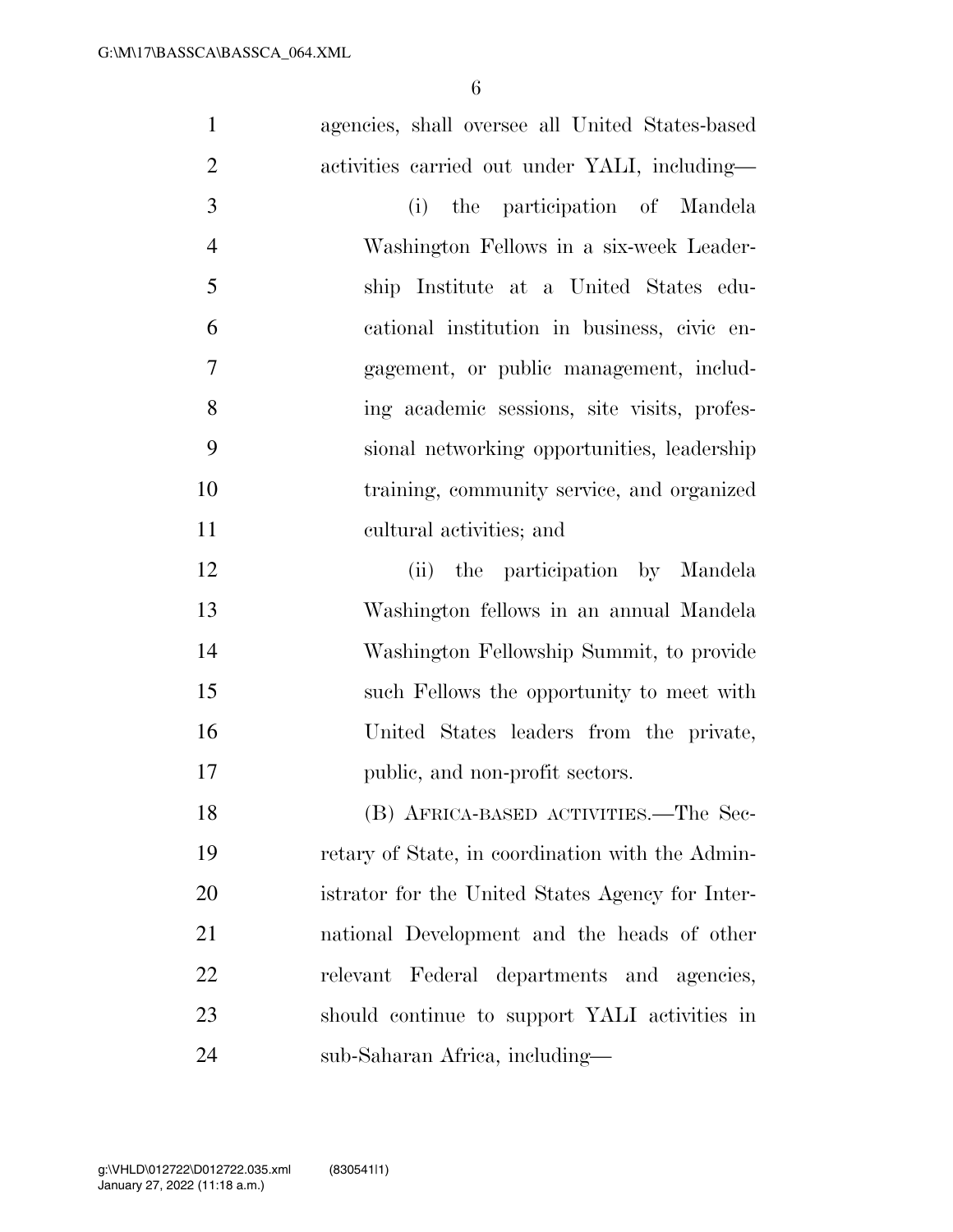| $\mathbf{1}$   | agencies, shall oversee all United States-based  |
|----------------|--------------------------------------------------|
| $\overline{2}$ | activities carried out under YALI, including—    |
| 3              | the participation of Mandela<br>(i)              |
| $\overline{4}$ | Washington Fellows in a six-week Leader-         |
| 5              | ship Institute at a United States edu-           |
| 6              | cational institution in business, civic en-      |
| 7              | gagement, or public management, includ-          |
| 8              | ing academic sessions, site visits, profes-      |
| 9              | sional networking opportunities, leadership      |
| 10             | training, community service, and organized       |
| 11             | cultural activities; and                         |
| 12             | (ii) the participation by Mandela                |
| 13             | Washington fellows in an annual Mandela          |
| 14             | Washington Fellowship Summit, to provide         |
| 15             | such Fellows the opportunity to meet with        |
| 16             | United States leaders from the private,          |
| 17             | public, and non-profit sectors.                  |
| 18             | (B) AFRICA-BASED ACTIVITIES.—The Sec-            |
| 19             | retary of State, in coordination with the Admin- |
| 20             | istrator for the United States Agency for Inter- |
| 21             | national Development and the heads of other      |
| 22             | relevant Federal departments and agencies,       |
| 23             | should continue to support YALI activities in    |
| 24             | sub-Saharan Africa, including—                   |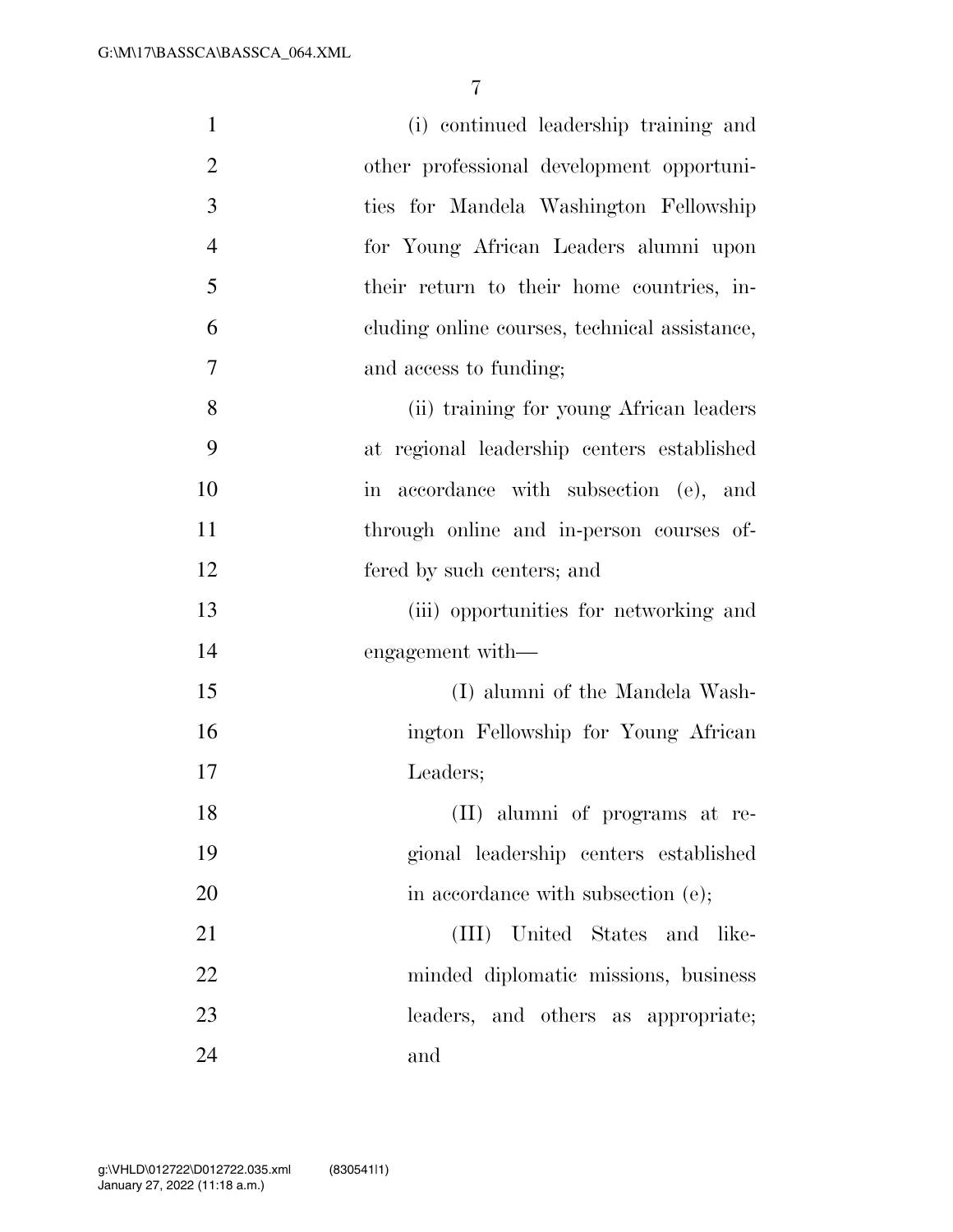| $\mathbf{1}$   | (i) continued leadership training and         |
|----------------|-----------------------------------------------|
| $\overline{2}$ | other professional development opportuni-     |
| 3              | ties for Mandela Washington Fellowship        |
| $\overline{4}$ | for Young African Leaders alumni upon         |
| 5              | their return to their home countries, in-     |
| 6              | cluding online courses, technical assistance, |
| 7              | and access to funding;                        |
| 8              | (ii) training for young African leaders       |
| 9              | at regional leadership centers established    |
| 10             | in accordance with subsection (e), and        |
| 11             | through online and in-person courses of-      |
| 12             | fered by such centers; and                    |
| 13             | (iii) opportunities for networking and        |
| 14             | engagement with—                              |
| 15             | (I) alumni of the Mandela Wash-               |
| 16             | ington Fellowship for Young African           |
| 17             | Leaders;                                      |
| 18             | (II) alumni of programs at re-                |
| 19             | gional leadership centers established         |
| 20             | in accordance with subsection (e);            |
| 21             | (III) United States and like-                 |
| 22             | minded diplomatic missions, business          |
| 23             | leaders, and others as appropriate;           |
| 24             | and                                           |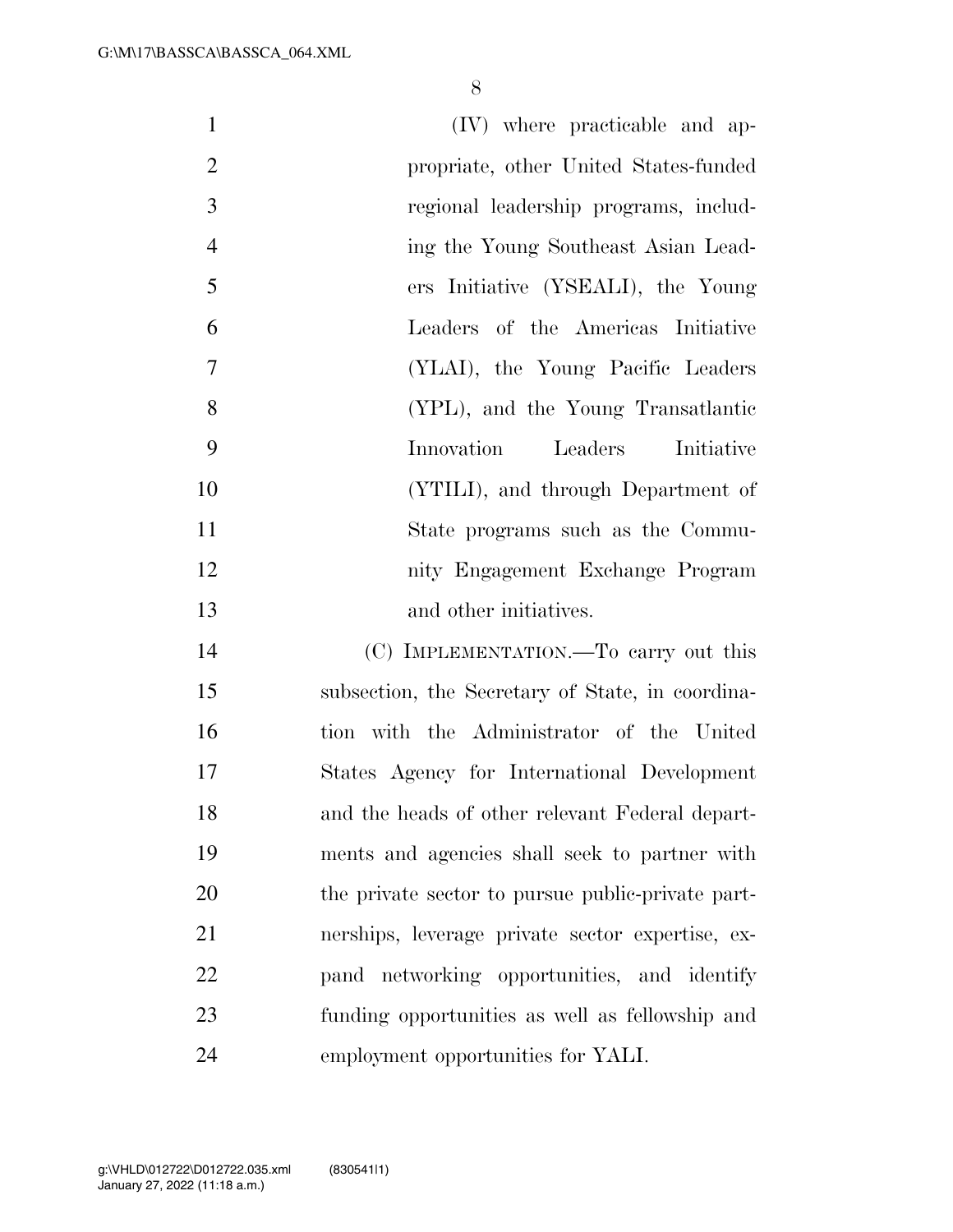| $\mathbf{1}$   | (IV) where practicable and ap-                    |
|----------------|---------------------------------------------------|
| $\overline{2}$ | propriate, other United States-funded             |
| 3              | regional leadership programs, includ-             |
| $\overline{4}$ | ing the Young Southeast Asian Lead-               |
| 5              | ers Initiative (YSEALI), the Young                |
| 6              | Leaders of the Americas Initiative                |
| $\tau$         | (YLAI), the Young Pacific Leaders                 |
| 8              | (YPL), and the Young Transatlantic                |
| 9              | Innovation<br>Leaders<br>Initiative               |
| 10             | (YTILI), and through Department of                |
| 11             | State programs such as the Commu-                 |
| 12             | nity Engagement Exchange Program                  |
| 13             | and other initiatives.                            |
| 14             | (C) IMPLEMENTATION.—To carry out this             |
| 15             | subsection, the Secretary of State, in coordina-  |
| 16             | tion with the Administrator of the United         |
| 17             | States Agency for International Development       |
| 18             | and the heads of other relevant Federal depart-   |
| 19             | ments and agencies shall seek to partner with     |
| 20             | the private sector to pursue public-private part- |
| 21             | nerships, leverage private sector expertise, ex-  |
| 22             | pand networking opportunities, and identify       |
| 23             | funding opportunities as well as fellowship and   |
| 24             | employment opportunities for YALI.                |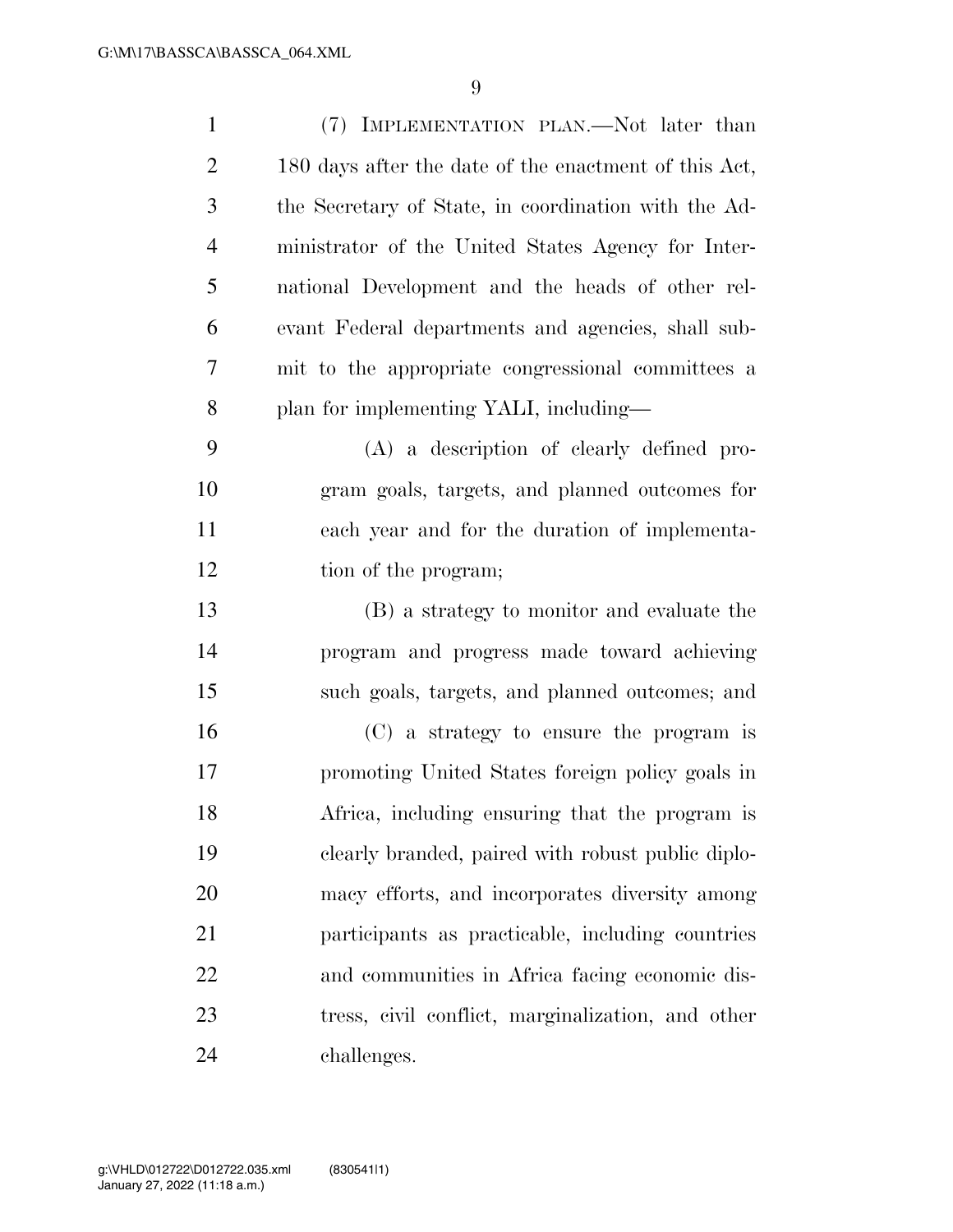| 1              | (7) IMPLEMENTATION PLAN.—Not later than               |
|----------------|-------------------------------------------------------|
| $\overline{2}$ | 180 days after the date of the enactment of this Act, |
| 3              | the Secretary of State, in coordination with the Ad-  |
| $\overline{4}$ | ministrator of the United States Agency for Inter-    |
| 5              | national Development and the heads of other rel-      |
| 6              | evant Federal departments and agencies, shall sub-    |
| 7              | mit to the appropriate congressional committees a     |
| 8              | plan for implementing YALI, including—                |
| 9              | (A) a description of clearly defined pro-             |
| 10             | gram goals, targets, and planned outcomes for         |
| 11             | each year and for the duration of implementa-         |
| 12             | tion of the program;                                  |
| 13             | (B) a strategy to monitor and evaluate the            |
| 14             | program and progress made toward achieving            |
| 15             | such goals, targets, and planned outcomes; and        |
| 16             | (C) a strategy to ensure the program is               |
| 17             | promoting United States foreign policy goals in       |
| 18             | Africa, including ensuring that the program is        |
| 19             | clearly branded, paired with robust public diplo-     |
| 20             | macy efforts, and incorporates diversity among        |
| 21             | participants as practicable, including countries      |
| 22             | and communities in Africa facing economic dis-        |
| 23             | tress, civil conflict, marginalization, and other     |
| 24             | challenges.                                           |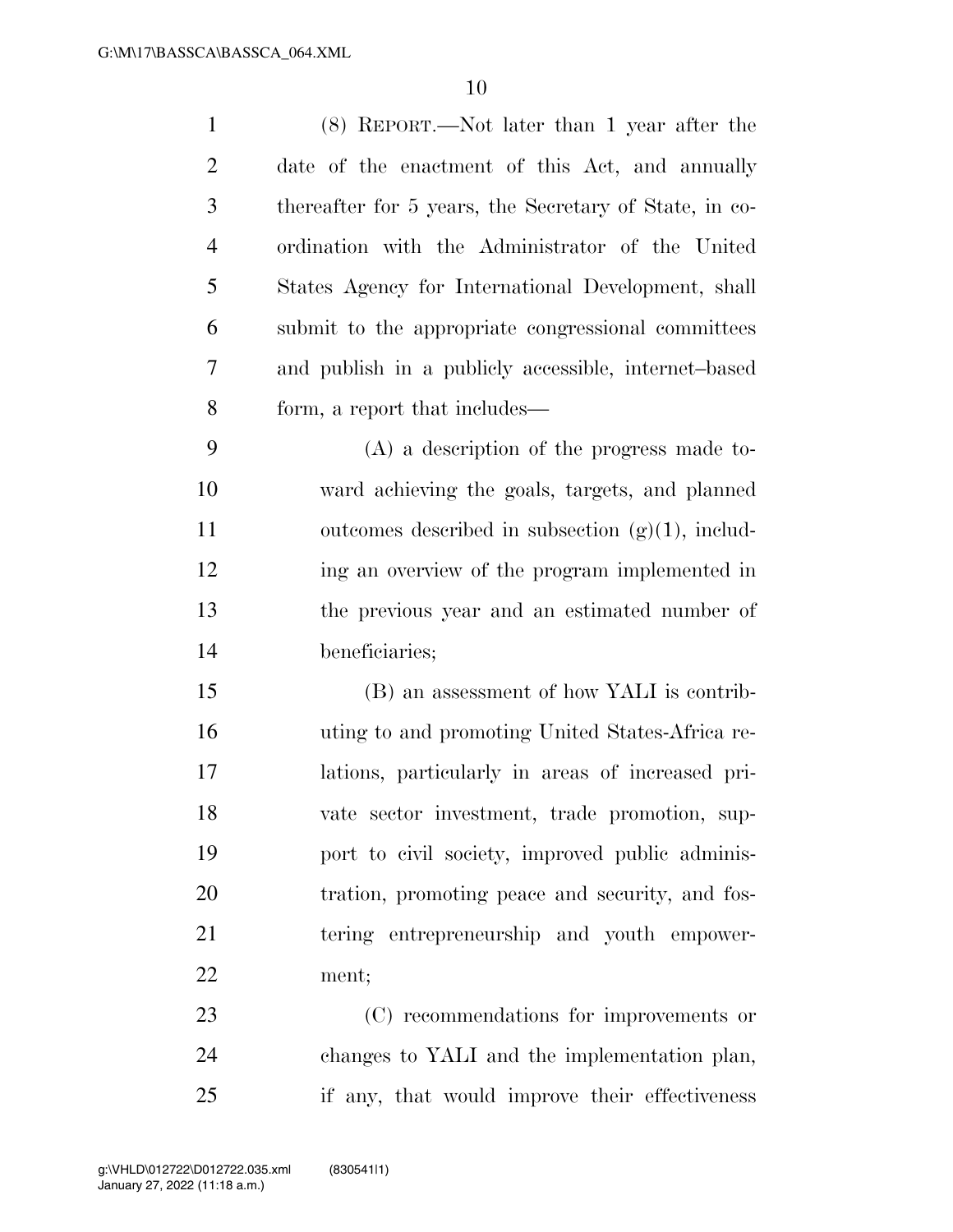| $\mathbf{1}$   | $(8)$ REPORT.—Not later than 1 year after the          |
|----------------|--------------------------------------------------------|
| $\overline{2}$ | date of the enactment of this Act, and annually        |
| 3              | thereafter for 5 years, the Secretary of State, in co- |
| $\overline{4}$ | ordination with the Administrator of the United        |
| 5              | States Agency for International Development, shall     |
| 6              | submit to the appropriate congressional committees     |
| 7              | and publish in a publicly accessible, internet-based   |
| 8              | form, a report that includes—                          |
| 9              | $(A)$ a description of the progress made to-           |
| 10             | ward achieving the goals, targets, and planned         |
| 11             | outcomes described in subsection $(g)(1)$ , includ-    |
| 12             | ing an overview of the program implemented in          |
| 13             | the previous year and an estimated number of           |
| 14             | beneficiaries;                                         |
| 15             | (B) an assessment of how YALI is contrib-              |
| 16             | uting to and promoting United States-Africa re-        |
| 17             | lations, particularly in areas of increased pri-       |
| 18             | vate sector investment, trade promotion, sup-          |
| 19             | port to civil society, improved public adminis-        |
| 20             | tration, promoting peace and security, and fos-        |
| 21             | tering entrepreneurship and youth empower-             |
| 22             | ment;                                                  |
| 23             | (C) recommendations for improvements or                |
| 24             | changes to YALI and the implementation plan,           |
| 25             | if any, that would improve their effectiveness         |